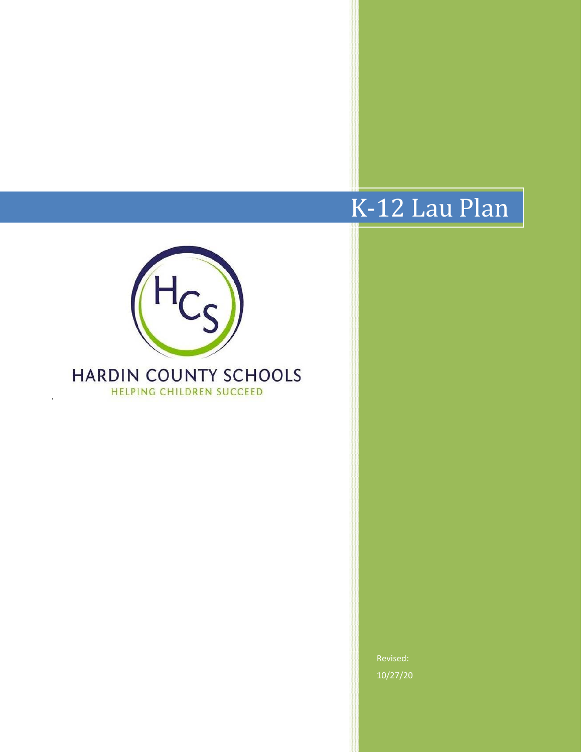# K-12 Lau Plan



·

10/27/20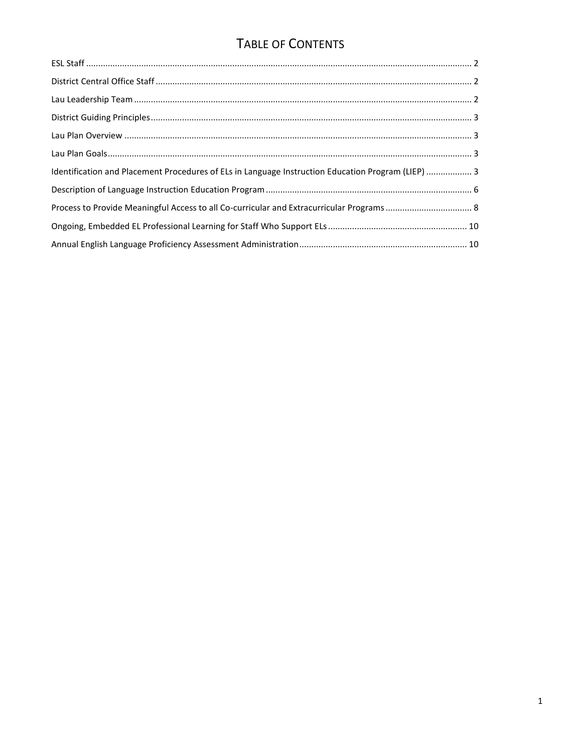# TABLE OF CONTENTS

| Identification and Placement Procedures of ELs in Language Instruction Education Program (LIEP)  3 |  |
|----------------------------------------------------------------------------------------------------|--|
|                                                                                                    |  |
|                                                                                                    |  |
|                                                                                                    |  |
|                                                                                                    |  |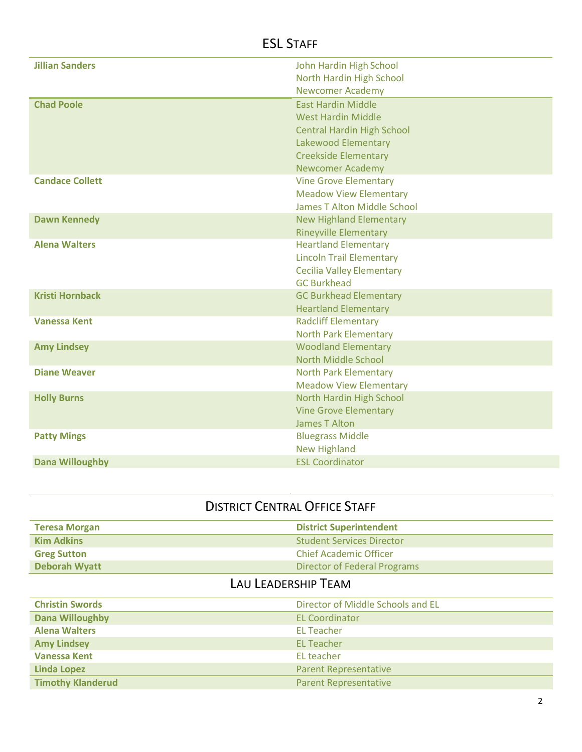# <span id="page-2-0"></span>ESL STAFF

| <b>Jillian Sanders</b> | John Hardin High School           |
|------------------------|-----------------------------------|
|                        | North Hardin High School          |
|                        | <b>Newcomer Academy</b>           |
| <b>Chad Poole</b>      | <b>East Hardin Middle</b>         |
|                        | <b>West Hardin Middle</b>         |
|                        | <b>Central Hardin High School</b> |
|                        | Lakewood Elementary               |
|                        | <b>Creekside Elementary</b>       |
|                        | <b>Newcomer Academy</b>           |
| <b>Candace Collett</b> | <b>Vine Grove Elementary</b>      |
|                        | <b>Meadow View Elementary</b>     |
|                        | James T Alton Middle School       |
| <b>Dawn Kennedy</b>    | <b>New Highland Elementary</b>    |
|                        | <b>Rineyville Elementary</b>      |
| <b>Alena Walters</b>   | <b>Heartland Elementary</b>       |
|                        | <b>Lincoln Trail Elementary</b>   |
|                        | <b>Cecilia Valley Elementary</b>  |
|                        | <b>GC Burkhead</b>                |
| <b>Kristi Hornback</b> | <b>GC Burkhead Elementary</b>     |
|                        | <b>Heartland Elementary</b>       |
| <b>Vanessa Kent</b>    | <b>Radcliff Elementary</b>        |
|                        | <b>North Park Elementary</b>      |
| <b>Amy Lindsey</b>     | <b>Woodland Elementary</b>        |
|                        | North Middle School               |
| <b>Diane Weaver</b>    | <b>North Park Elementary</b>      |
|                        | <b>Meadow View Elementary</b>     |
| <b>Holly Burns</b>     | North Hardin High School          |
|                        | <b>Vine Grove Elementary</b>      |
|                        | James T Alton                     |
| <b>Patty Mings</b>     | <b>Bluegrass Middle</b>           |
|                        | <b>New Highland</b>               |
| <b>Dana Willoughby</b> | <b>ESL Coordinator</b>            |

# DISTRICT CENTRAL OFFICE STAFF

<span id="page-2-1"></span>

| <b>Teresa Morgan</b> | <b>District Superintendent</b>      |
|----------------------|-------------------------------------|
| <b>Kim Adkins</b>    | <b>Student Services Director</b>    |
| <b>Greg Sutton</b>   | <b>Chief Academic Officer</b>       |
| <b>Deborah Wyatt</b> | <b>Director of Federal Programs</b> |

# LAU LEADERSHIP TEAM

<span id="page-2-2"></span>

| <b>Christin Swords</b>   | Director of Middle Schools and EL |
|--------------------------|-----------------------------------|
| <b>Dana Willoughby</b>   | <b>EL Coordinator</b>             |
| <b>Alena Walters</b>     | <b>EL Teacher</b>                 |
| <b>Amy Lindsey</b>       | <b>EL Teacher</b>                 |
| <b>Vanessa Kent</b>      | EL teacher                        |
| <b>Linda Lopez</b>       | <b>Parent Representative</b>      |
| <b>Timothy Klanderud</b> | <b>Parent Representative</b>      |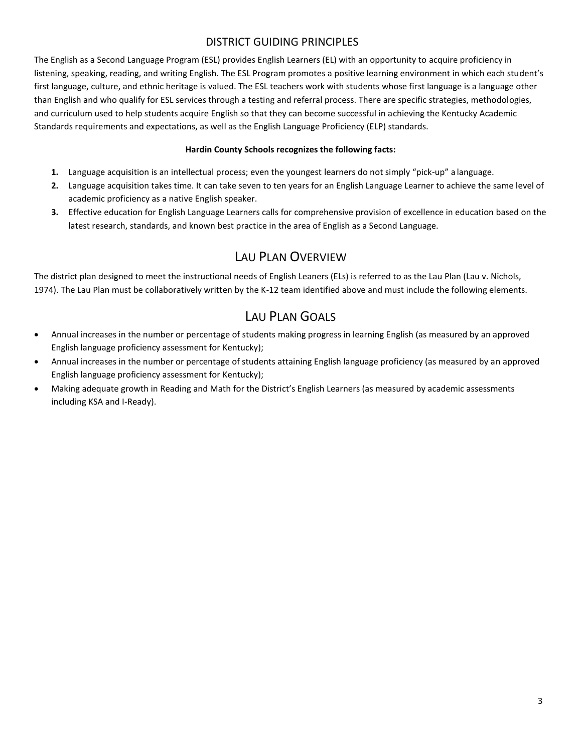#### DISTRICT GUIDING PRINCIPLES

The English as a Second Language Program (ESL) provides English Learners (EL) with an opportunity to acquire proficiency in listening, speaking, reading, and writing English. The ESL Program promotes a positive learning environment in which each student's first language, culture, and ethnic heritage is valued. The ESL teachers work with students whose first language is a language other than English and who qualify for ESL services through a testing and referral process. There are specific strategies, methodologies, and curriculum used to help students acquire English so that they can become successful in achieving the Kentucky Academic Standards requirements and expectations, as well as the English Language Proficiency (ELP) standards.

#### **Hardin County Schools recognizes the following facts:**

- **1.** Language acquisition is an intellectual process; even the youngest learners do not simply "pick-up" a language.
- **2.** Language acquisition takes time. It can take seven to ten years for an English Language Learner to achieve the same level of academic proficiency as a native English speaker.
- **3.** Effective education for English Language Learners calls for comprehensive provision of excellence in education based on the latest research, standards, and known best practice in the area of English as a Second Language.

### LAU PLAN OVERVIEW

<span id="page-3-0"></span>The district plan designed to meet the instructional needs of English Leaners (ELs) is referred to as the Lau Plan (Lau v. Nichols, 1974). The Lau Plan must be collaboratively written by the K-12 team identified above and must include the following elements.

### LAU PLAN GOALS

- <span id="page-3-2"></span><span id="page-3-1"></span> Annual increases in the number or percentage of students making progress in learning English (as measured by an approved English language proficiency assessment for Kentucky);
- Annual increases in the number or percentage of students attaining English language proficiency (as measured by an approved English language proficiency assessment for Kentucky);
- Making adequate growth in Reading and Math for the District's English Learners (as measured by academic assessments including KSA and I-Ready).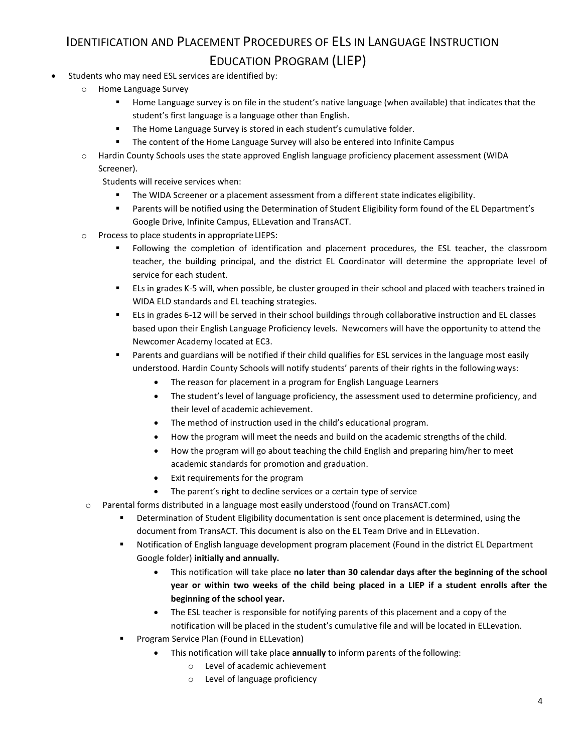# IDENTIFICATION AND PLACEMENT PROCEDURES OF ELS IN LANGUAGE INSTRUCTION EDUCATION PROGRAM (LIEP)

- Students who may need ESL services are identified by:
	- o Home Language Survey
		- Home Language survey is on file in the student's native language (when available) that indicates that the student's first language is a language other than English.
		- **The Home Language Survey is stored in each student's cumulative folder.**
		- **The content of the Home Language Survey will also be entered into Infinite Campus**
	- o Hardin County Schools uses the state approved English language proficiency placement assessment (WIDA Screener).

Students will receive services when:

- The WIDA Screener or a placement assessment from a different state indicates eligibility.
- Parents will be notified using the Determination of Student Eligibility form found of the EL Department's Google Drive, Infinite Campus, ELLevation and TransACT.
- o Process to place students in appropriateLIEPS:
	- Following the completion of identification and placement procedures, the ESL teacher, the classroom teacher, the building principal, and the district EL Coordinator will determine the appropriate level of service for each student.
	- ELs in grades K-5 will, when possible, be cluster grouped in their school and placed with teachers trained in WIDA ELD standards and EL teaching strategies.
	- ELs in grades 6-12 will be served in their school buildings through collaborative instruction and EL classes based upon their English Language Proficiency levels. Newcomers will have the opportunity to attend the Newcomer Academy located at EC3.
	- Parents and guardians will be notified if their child qualifies for ESL services in the language most easily understood. Hardin County Schools will notify students' parents of their rights in the followingways:
		- The reason for placement in a program for English Language Learners
		- The student's level of language proficiency, the assessment used to determine proficiency, and their level of academic achievement.
		- The method of instruction used in the child's educational program.
		- How the program will meet the needs and build on the academic strengths of the child.
		- How the program will go about teaching the child English and preparing him/her to meet academic standards for promotion and graduation.
		- Exit requirements for the program
		- The parent's right to decline services or a certain type of service
- o Parental forms distributed in a language most easily understood (found on TransACT.com)
	- **•** Determination of Student Eligibility documentation is sent once placement is determined, using the document from TransACT. This document is also on the EL Team Drive and in ELLevation.
	- Notification of English language development program placement (Found in the district EL Department Google folder) **initially and annually.**
		- This notification will take place **no later than 30 calendar days after the beginning of the school year or within two weeks of the child being placed in a LIEP if a student enrolls after the beginning of the school year.**
		- The ESL teacher is responsible for notifying parents of this placement and a copy of the notification will be placed in the student's cumulative file and will be located in ELLevation.
	- **Program Service Plan (Found in ELLevation)** 
		- This notification will take place **annually** to inform parents of the following:
			- o Level of academic achievement
			- o Level of language proficiency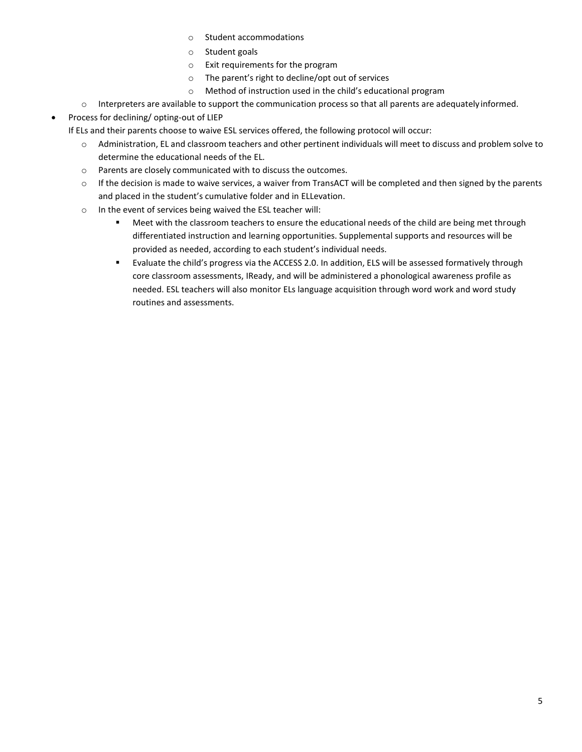- o Student accommodations
- o Student goals
- o Exit requirements for the program
- o The parent's right to decline/opt out of services
- o Method of instruction used in the child's educational program
- o Interpreters are available to support the communication process so that all parents are adequately informed.
- <span id="page-5-0"></span>Process for declining/ opting-out of LIEP

If ELs and their parents choose to waive ESL services offered, the following protocol will occur:

- o Administration, EL and classroom teachers and other pertinent individuals will meet to discuss and problem solve to determine the educational needs of the EL.
- o Parents are closely communicated with to discuss the outcomes.
- $\circ$  If the decision is made to waive services, a waiver from TransACT will be completed and then signed by the parents and placed in the student's cumulative folder and in ELLevation.
- o In the event of services being waived the ESL teacher will:
	- **Meet with the classroom teachers to ensure the educational needs of the child are being met through** differentiated instruction and learning opportunities. Supplemental supports and resources will be provided as needed, according to each student's individual needs.
	- Evaluate the child's progress via the ACCESS 2.0. In addition, ELS will be assessed formatively through core classroom assessments, IReady, and will be administered a phonological awareness profile as needed. ESL teachers will also monitor ELs language acquisition through word work and word study routines and assessments.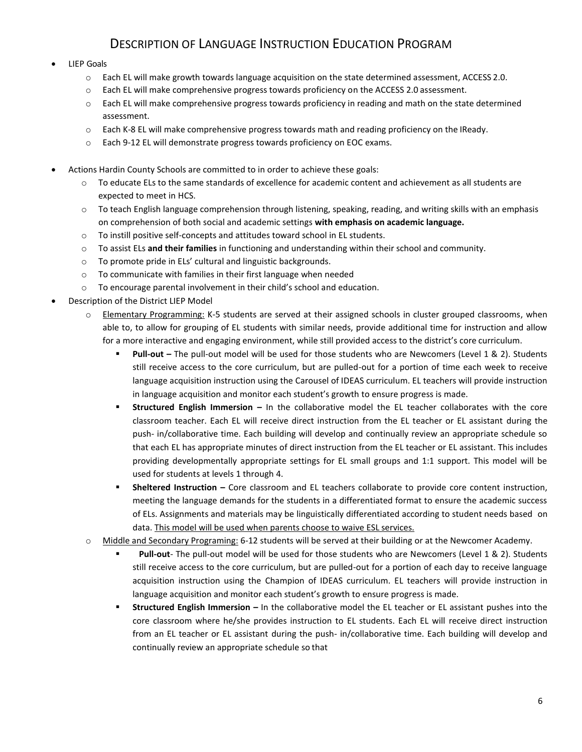### DESCRIPTION OF LANGUAGE INSTRUCTION EDUCATION PROGRAM

#### LIEP Goals

- o Each EL will make growth towards language acquisition on the state determined assessment, ACCESS 2.0.
- $\circ$  Each EL will make comprehensive progress towards proficiency on the ACCESS 2.0 assessment.
- o Each EL will make comprehensive progress towards proficiency in reading and math on the state determined assessment.
- o Each K-8 EL will make comprehensive progress towards math and reading proficiency on the IReady.
- o Each 9-12 EL will demonstrate progress towards proficiency on EOC exams.
- Actions Hardin County Schools are committed to in order to achieve these goals:
	- o To educate ELs to the same standards of excellence for academic content and achievement as all students are expected to meet in HCS.
	- o To teach English language comprehension through listening, speaking, reading, and writing skills with an emphasis on comprehension of both social and academic settings **with emphasis on academic language.**
	- o To instill positive self-concepts and attitudes toward school in EL students.
	- o To assist ELs **and their families** in functioning and understanding within their school and community.
	- o To promote pride in ELs' cultural and linguistic backgrounds.
	- o To communicate with families in their first language when needed
	- o To encourage parental involvement in their child's school and education.
- Description of the District LIEP Model
	- o Elementary Programming: K-5 students are served at their assigned schools in cluster grouped classrooms, when able to, to allow for grouping of EL students with similar needs, provide additional time for instruction and allow for a more interactive and engaging environment, while still provided access to the district's core curriculum.
		- **Pull-out –** The pull-out model will be used for those students who are Newcomers (Level 1 & 2). Students still receive access to the core curriculum, but are pulled-out for a portion of time each week to receive language acquisition instruction using the Carousel of IDEAS curriculum. EL teachers will provide instruction in language acquisition and monitor each student's growth to ensure progress is made.
		- **Structured English Immersion –** In the collaborative model the EL teacher collaborates with the core classroom teacher. Each EL will receive direct instruction from the EL teacher or EL assistant during the push- in/collaborative time. Each building will develop and continually review an appropriate schedule so that each EL has appropriate minutes of direct instruction from the EL teacher or EL assistant. This includes providing developmentally appropriate settings for EL small groups and 1:1 support. This model will be used for students at levels 1 through 4.
		- **Sheltered Instruction –** Core classroom and EL teachers collaborate to provide core content instruction, meeting the language demands for the students in a differentiated format to ensure the academic success of ELs. Assignments and materials may be linguistically differentiated according to student needs based on data. This model will be used when parents choose to waive ESL services.
	- o Middle and Secondary Programing: 6-12 students will be served at their building or at the Newcomer Academy.
		- **Pull-out** The pull-out model will be used for those students who are Newcomers (Level 1 & 2). Students still receive access to the core curriculum, but are pulled-out for a portion of each day to receive language acquisition instruction using the Champion of IDEAS curriculum. EL teachers will provide instruction in language acquisition and monitor each student's growth to ensure progress is made.
		- **Structured English Immersion –** In the collaborative model the EL teacher or EL assistant pushes into the core classroom where he/she provides instruction to EL students. Each EL will receive direct instruction from an EL teacher or EL assistant during the push- in/collaborative time. Each building will develop and continually review an appropriate schedule so that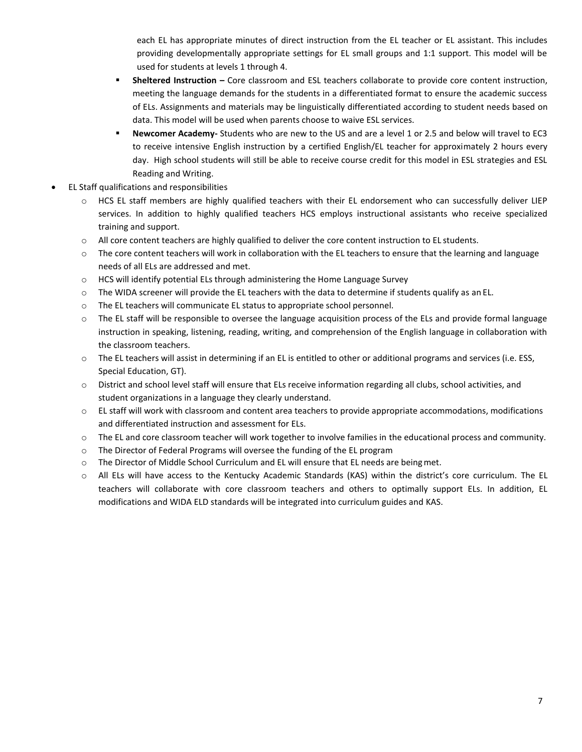each EL has appropriate minutes of direct instruction from the EL teacher or EL assistant. This includes providing developmentally appropriate settings for EL small groups and 1:1 support. This model will be used for students at levels 1 through 4.

- <span id="page-7-0"></span> **Sheltered Instruction –** Core classroom and ESL teachers collaborate to provide core content instruction, meeting the language demands for the students in a differentiated format to ensure the academic success of ELs. Assignments and materials may be linguistically differentiated according to student needs based on data. This model will be used when parents choose to waive ESL services.
- **Newcomer Academy-** Students who are new to the US and are a level 1 or 2.5 and below will travel to EC3 to receive intensive English instruction by a certified English/EL teacher for approximately 2 hours every day. High school students will still be able to receive course credit for this model in ESL strategies and ESL Reading and Writing.
- EL Staff qualifications and responsibilities
	- o HCS EL staff members are highly qualified teachers with their EL endorsement who can successfully deliver LIEP services. In addition to highly qualified teachers HCS employs instructional assistants who receive specialized training and support.
	- o All core content teachers are highly qualified to deliver the core content instruction to EL students.
	- o The core content teachers will work in collaboration with the EL teachers to ensure that the learning and language needs of all ELs are addressed and met.
	- $\circ$  HCS will identify potential ELs through administering the Home Language Survey
	- o The WIDA screener will provide the EL teachers with the data to determine if students qualify as an EL.
	- o The EL teachers will communicate EL status to appropriate school personnel.
	- o The EL staff will be responsible to oversee the language acquisition process of the ELs and provide formal language instruction in speaking, listening, reading, writing, and comprehension of the English language in collaboration with the classroom teachers.
	- $\circ$  The EL teachers will assist in determining if an EL is entitled to other or additional programs and services (i.e. ESS, Special Education, GT).
	- $\circ$  District and school level staff will ensure that ELs receive information regarding all clubs, school activities, and student organizations in a language they clearly understand.
	- $\circ$  EL staff will work with classroom and content area teachers to provide appropriate accommodations, modifications and differentiated instruction and assessment for ELs.
	- o The EL and core classroom teacher will work together to involve families in the educational process and community.
	- o The Director of Federal Programs will oversee the funding of the EL program
	- o The Director of Middle School Curriculum and EL will ensure that EL needs are beingmet.
	- o All ELs will have access to the Kentucky Academic Standards (KAS) within the district's core curriculum. The EL teachers will collaborate with core classroom teachers and others to optimally support ELs. In addition, EL modifications and WIDA ELD standards will be integrated into curriculum guides and KAS.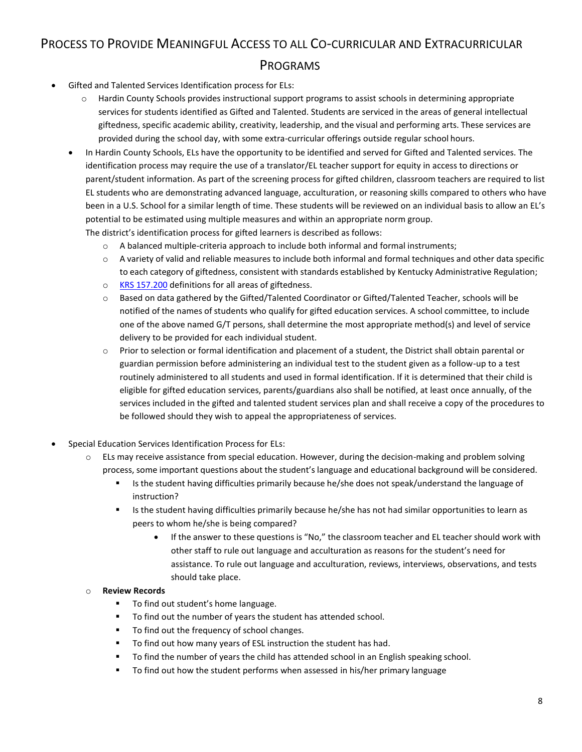# PROCESS TO PROVIDE MEANINGFUL ACCESS TO ALL CO-CURRICULAR AND EXTRACURRICULAR PROGRAMS

- Gifted and Talented Services Identification process for ELs:
	- o Hardin County Schools provides instructional support programs to assist schools in determining appropriate services for students identified as Gifted and Talented. Students are serviced in the areas of general intellectual giftedness, specific academic ability, creativity, leadership, and the visual and performing arts. These services are provided during the school day, with some extra-curricular offerings outside regular school hours.
	- In Hardin County Schools, ELs have the opportunity to be identified and served for Gifted and Talented services. The identification process may require the use of a translator/EL teacher support for equity in access to directions or parent/student information. As part of the screening process for gifted children, classroom teachers are required to list EL students who are demonstrating advanced language, acculturation, or reasoning skills compared to others who have been in a U.S. School for a similar length of time. These students will be reviewed on an individual basis to allow an EL's potential to be estimated using multiple measures and within an appropriate norm group. The district's identification process for gifted learners is described as follows:
		- $\circ$  A balanced multiple-criteria approach to include both informal and formal instruments;
		- o A variety of valid and reliable measures to include both informal and formal techniques and other data specific to each category of giftedness, consistent with standards established by Kentucky Administrative Regulation;
		- o KRS 157.200 definitions for all areas of giftedness.
		- o Based on data gathered by the Gifted/Talented Coordinator or Gifted/Talented Teacher, schools will be notified of the names of students who qualify for gifted education services. A school committee, to include one of the above named G/T persons, shall determine the most appropriate method(s) and level of service delivery to be provided for each individual student.
		- o Prior to selection or formal identification and placement of a student, the District shall obtain parental or guardian permission before administering an individual test to the student given as a follow-up to a test routinely administered to all students and used in formal identification. If it is determined that their child is eligible for gifted education services, parents/guardians also shall be notified, at least once annually, of the services included in the gifted and talented student services plan and shall receive a copy of the procedures to be followed should they wish to appeal the appropriateness of services.
- Special Education Services Identification Process for ELs:
	- o ELs may receive assistance from special education. However, during the decision-making and problem solving process, some important questions about the student's language and educational background will be considered.
		- Is the student having difficulties primarily because he/she does not speak/understand the language of instruction?
		- Is the student having difficulties primarily because he/she has not had similar opportunities to learn as peers to whom he/she is being compared?
			- If the answer to these questions is "No," the classroom teacher and EL teacher should work with other staff to rule out language and acculturation as reasons for the student's need for assistance. To rule out language and acculturation, reviews, interviews, observations, and tests should take place.

#### o **Review Records**

- To find out student's home language.
- To find out the number of years the student has attended school.
- To find out the frequency of school changes.
- To find out how many years of ESL instruction the student has had.
- To find the number of years the child has attended school in an English speaking school.
- To find out how the student performs when assessed in his/her primary language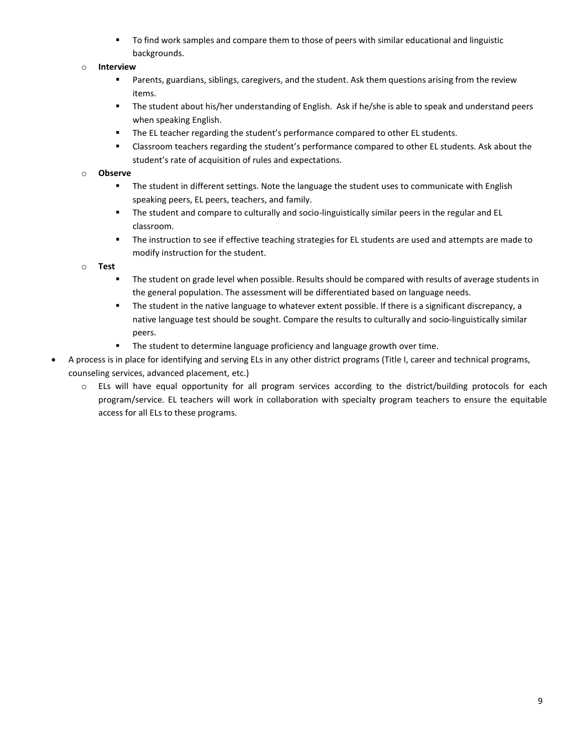To find work samples and compare them to those of peers with similar educational and linguistic backgrounds.

#### <span id="page-9-0"></span>o **Interview**

- Parents, guardians, siblings, caregivers, and the student. Ask them questions arising from the review items.
- The student about his/her understanding of English. Ask if he/she is able to speak and understand peers when speaking English.
- **The EL teacher regarding the student's performance compared to other EL students.**
- Classroom teachers regarding the student's performance compared to other EL students. Ask about the student's rate of acquisition of rules and expectations.

#### o **Observe**

- **The student in different settings. Note the language the student uses to communicate with English** speaking peers, EL peers, teachers, and family.
- **The student and compare to culturally and socio-linguistically similar peers in the regular and EL** classroom.
- The instruction to see if effective teaching strategies for EL students are used and attempts are made to modify instruction for the student.

#### o **Test**

- **The student on grade level when possible. Results should be compared with results of average students in** the general population. The assessment will be differentiated based on language needs.
- The student in the native language to whatever extent possible. If there is a significant discrepancy, a native language test should be sought. Compare the results to culturally and socio-linguistically similar peers.
- **The student to determine language proficiency and language growth over time.**
- A process is in place for identifying and serving ELs in any other district programs (Title I, career and technical programs, counseling services, advanced placement, etc.)
	- o ELs will have equal opportunity for all program services according to the district/building protocols for each program/service. EL teachers will work in collaboration with specialty program teachers to ensure the equitable access for all ELs to these programs.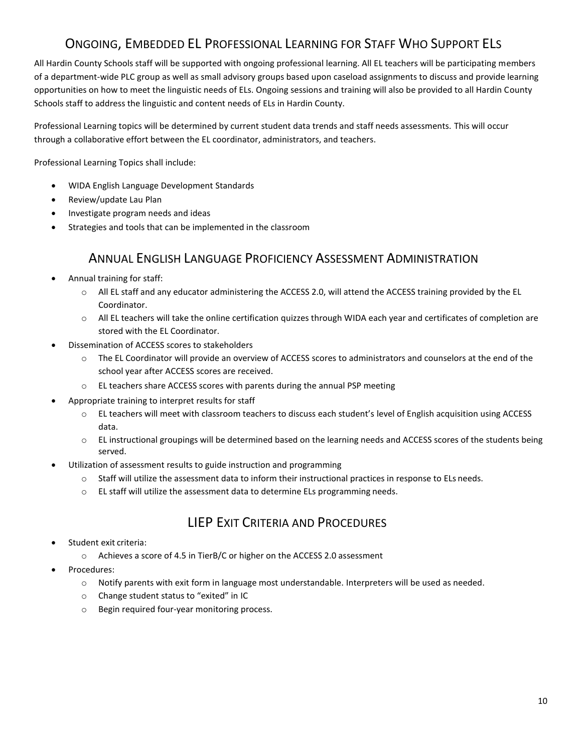## ONGOING, EMBEDDED EL PROFESSIONAL LEARNING FOR STAFF WHO SUPPORT ELS

All Hardin County Schools staff will be supported with ongoing professional learning. All EL teachers will be participating members of a department-wide PLC group as well as small advisory groups based upon caseload assignments to discuss and provide learning opportunities on how to meet the linguistic needs of ELs. Ongoing sessions and training will also be provided to all Hardin County Schools staff to address the linguistic and content needs of ELs in Hardin County.

Professional Learning topics will be determined by current student data trends and staff needs assessments. This will occur through a collaborative effort between the EL coordinator, administrators, and teachers.

Professional Learning Topics shall include:

- WIDA English Language Development Standards
- Review/update Lau Plan
- Investigate program needs and ideas
- Strategies and tools that can be implemented in the classroom

### ANNUAL ENGLISH LANGUAGE PROFICIENCY ASSESSMENT ADMINISTRATION

- <span id="page-10-0"></span> Annual training for staff:
	- o All EL staff and any educator administering the ACCESS 2.0, will attend the ACCESS training provided by the EL Coordinator.
	- o All EL teachers will take the online certification quizzes through WIDA each year and certificates of completion are stored with the EL Coordinator.
- Dissemination of ACCESS scores to stakeholders
	- $\circ$  The EL Coordinator will provide an overview of ACCESS scores to administrators and counselors at the end of the school year after ACCESS scores are received.
	- o EL teachers share ACCESS scores with parents during the annual PSP meeting
- Appropriate training to interpret results for staff
	- o EL teachers will meet with classroom teachers to discuss each student's level of English acquisition using ACCESS data.
	- $\circ$  EL instructional groupings will be determined based on the learning needs and ACCESS scores of the students being served.
	- Utilization of assessment results to guide instruction and programming
		- $\circ$  Staff will utilize the assessment data to inform their instructional practices in response to ELs needs.
		- $\circ$  EL staff will utilize the assessment data to determine ELs programming needs.

### LIEP EXIT CRITERIA AND PROCEDURES

- Student exit criteria:
	- o Achieves a score of 4.5 in TierB/C or higher on the ACCESS 2.0 assessment
- Procedures:
	- o Notify parents with exit form in language most understandable. Interpreters will be used as needed.
	- o Change student status to "exited" in IC
	- o Begin required four-year monitoring process.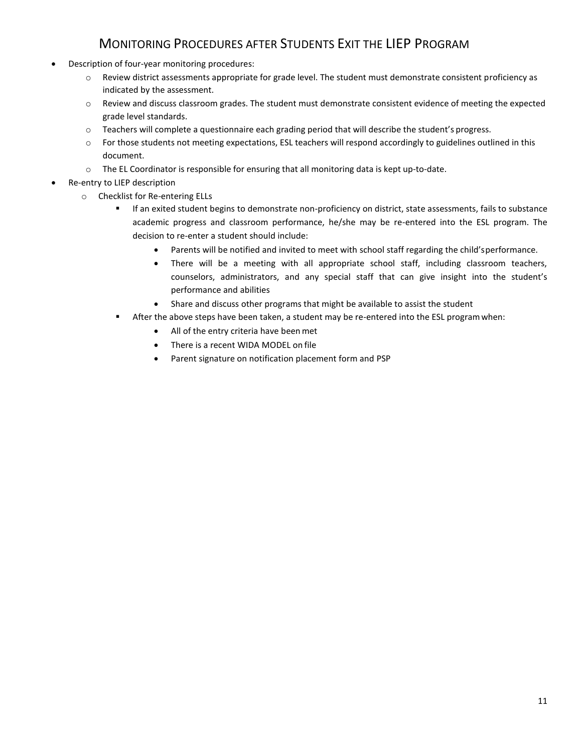### MONITORING PROCEDURES AFTER STUDENTS EXIT THE LIEP PROGRAM

- Description of four-year monitoring procedures:
	- o Review district assessments appropriate for grade level. The student must demonstrate consistent proficiency as indicated by the assessment.
	- o Review and discuss classroom grades. The student must demonstrate consistent evidence of meeting the expected grade level standards.
	- o Teachers will complete a questionnaire each grading period that will describe the student's progress.
	- $\circ$  For those students not meeting expectations, ESL teachers will respond accordingly to guidelines outlined in this document.
	- o The EL Coordinator is responsible for ensuring that all monitoring data is kept up-to-date.
- Re-entry to LIEP description
	- o Checklist for Re-entering ELLs
		- If an exited student begins to demonstrate non-proficiency on district, state assessments, fails to substance academic progress and classroom performance, he/she may be re-entered into the ESL program. The decision to re-enter a student should include:
			- Parents will be notified and invited to meet with school staff regarding the child'sperformance.
			- There will be a meeting with all appropriate school staff, including classroom teachers, counselors, administrators, and any special staff that can give insight into the student's performance and abilities
			- Share and discuss other programs that might be available to assist the student
		- After the above steps have been taken, a student may be re-entered into the ESL programwhen:
			- All of the entry criteria have been met
			- There is a recent WIDA MODEL on file
			- Parent signature on notification placement form and PSP